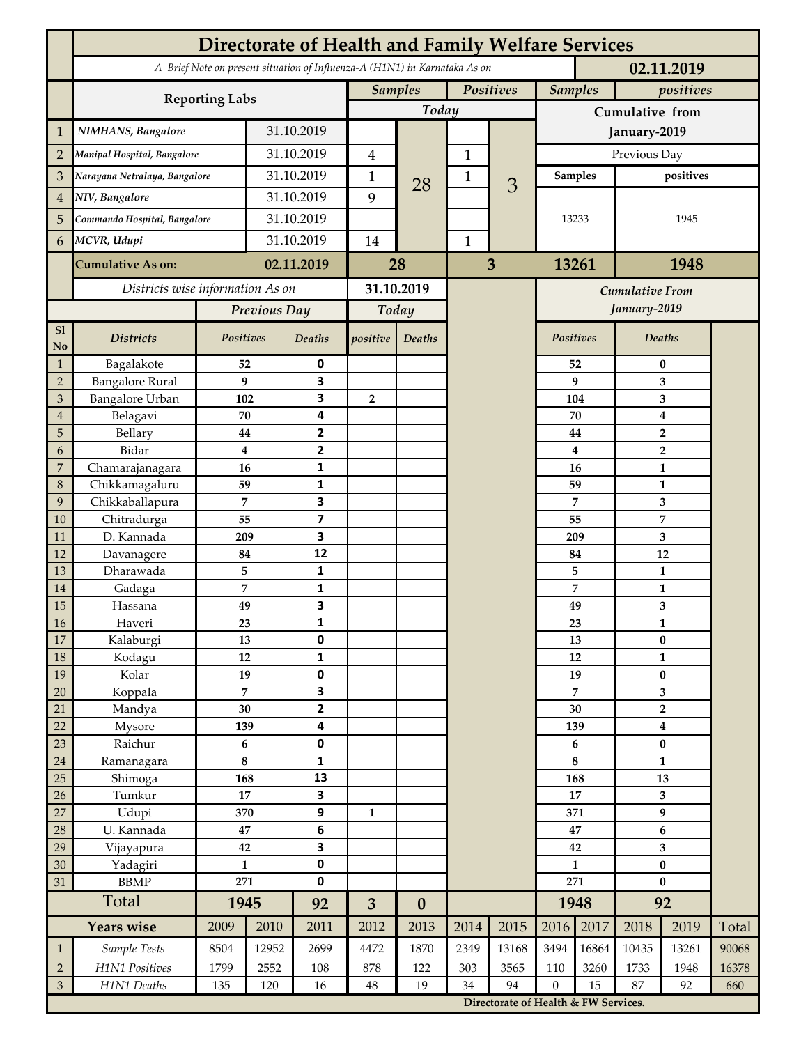|                 | <b>Directorate of Health and Family Welfare Services</b>                                 |                              |            |                         |                |                  |              |                        |                                                                               |                             |                                           |                         |       |  |
|-----------------|------------------------------------------------------------------------------------------|------------------------------|------------|-------------------------|----------------|------------------|--------------|------------------------|-------------------------------------------------------------------------------|-----------------------------|-------------------------------------------|-------------------------|-------|--|
|                 | A Brief Note on present situation of Influenza-A (H1N1) in Karnataka As on<br>02.11.2019 |                              |            |                         |                |                  |              |                        |                                                                               |                             |                                           |                         |       |  |
|                 | <b>Reporting Labs</b>                                                                    |                              |            |                         | <b>Samples</b> |                  | Positives    |                        |                                                                               | <b>Samples</b><br>positives |                                           |                         |       |  |
|                 |                                                                                          |                              |            |                         |                | Today            |              |                        | Cumulative from                                                               |                             |                                           |                         |       |  |
| $\mathbf{1}$    | NIMHANS, Bangalore                                                                       | 31.10.2019                   |            |                         |                |                  |              |                        | January-2019                                                                  |                             |                                           |                         |       |  |
| $\overline{2}$  | Manipal Hospital, Bangalore                                                              |                              |            | 31.10.2019              |                |                  | $\mathbf 1$  |                        | Previous Day                                                                  |                             |                                           |                         |       |  |
| 3               | Narayana Netralaya, Bangalore                                                            |                              | 31.10.2019 |                         | $\mathbf{1}$   |                  | $\mathbf{1}$ |                        | Samples                                                                       |                             | positives                                 |                         |       |  |
| $\overline{4}$  | NIV, Bangalore                                                                           |                              |            | 31.10.2019              |                | 28               |              | 3                      | 13233                                                                         |                             |                                           |                         |       |  |
| 5               |                                                                                          | Commando Hospital, Bangalore |            | 31.10.2019              |                |                  |              |                        |                                                                               |                             |                                           | 1945                    |       |  |
| 6               |                                                                                          | MCVR, Udupi                  |            | 31.10.2019              |                |                  | $\mathbf{1}$ |                        |                                                                               |                             |                                           |                         |       |  |
|                 |                                                                                          |                              |            |                         |                |                  |              |                        |                                                                               |                             |                                           |                         |       |  |
|                 | <b>Cumulative As on:</b>                                                                 |                              | 02.11.2019 |                         | 28             |                  | 3            |                        | 13261                                                                         |                             | 1948                                      |                         |       |  |
|                 | Districts wise information As on                                                         |                              |            | 31.10.2019              |                |                  |              | <b>Cumulative From</b> |                                                                               |                             |                                           |                         |       |  |
|                 |                                                                                          | Previous Day                 |            | Today                   |                |                  |              |                        |                                                                               | January-2019                |                                           |                         |       |  |
| S1<br>No        | <b>Districts</b>                                                                         | Positives                    |            | Deaths                  | positive       | Deaths           |              |                        | Positives                                                                     |                             |                                           | Deaths                  |       |  |
| $\mathbf{1}$    | Bagalakote                                                                               | 52                           |            | 0                       |                |                  |              |                        |                                                                               | 52                          | $\bf{0}$                                  |                         |       |  |
| $\overline{2}$  | <b>Bangalore Rural</b>                                                                   | 9                            |            | 3                       |                |                  |              |                        |                                                                               | 9                           | 3                                         |                         |       |  |
| 3               | Bangalore Urban                                                                          | 102                          |            | 3                       | $\overline{2}$ |                  |              |                        |                                                                               | 104                         | 3                                         |                         |       |  |
| $\overline{4}$  | Belagavi                                                                                 | 70                           |            | 4                       |                |                  |              |                        |                                                                               | 70                          | $\boldsymbol{4}$                          |                         |       |  |
| 5<br>6          | Bellary<br>Bidar                                                                         | 44<br>$\bf{4}$               |            | 2<br>$\mathbf{2}$       |                |                  |              |                        |                                                                               | 44<br>4                     | $\overline{\mathbf{2}}$<br>$\overline{2}$ |                         |       |  |
| 7               | Chamarajanagara                                                                          | 16                           |            | 1                       |                |                  |              |                        |                                                                               | 16                          | 1                                         |                         |       |  |
| 8               | Chikkamagaluru                                                                           | 59                           |            | 1                       |                |                  |              |                        |                                                                               | 59                          |                                           | 1                       |       |  |
| 9               | Chikkaballapura                                                                          | 7                            |            | 3                       |                |                  |              |                        |                                                                               | 7                           |                                           | 3                       |       |  |
| 10              | Chitradurga                                                                              | 55                           |            | $\overline{\mathbf{z}}$ |                |                  |              |                        |                                                                               | 55                          |                                           | 7                       |       |  |
| 11              | D. Kannada                                                                               | 209                          |            | 3                       |                |                  |              |                        |                                                                               | 209                         |                                           | 3                       |       |  |
| 12              | Davanagere                                                                               | 84                           |            | 12                      |                |                  |              |                        |                                                                               | 84                          |                                           | 12                      |       |  |
| 13              | Dharawada                                                                                | 5                            |            | $\mathbf{1}$            |                |                  |              |                        |                                                                               | 5                           |                                           | $\mathbf{1}$            |       |  |
| 14              | Gadaga                                                                                   | 7                            |            | 1<br>3                  |                |                  |              |                        |                                                                               | 7                           |                                           | 1                       |       |  |
| 15<br><b>16</b> | Hassana<br>Haveri                                                                        | 49<br>23                     |            | 1                       |                |                  |              |                        | 49<br>23                                                                      |                             | 3<br>1                                    |                         |       |  |
| 17              | Kalaburgi                                                                                | 13                           |            | 0                       |                |                  |              |                        |                                                                               | 13                          |                                           | $\pmb{0}$               |       |  |
| 18              | Kodagu                                                                                   | 12                           |            | $\mathbf{1}$            |                |                  |              |                        |                                                                               | 12                          |                                           | $\mathbf{1}$            |       |  |
| 19              | Kolar                                                                                    | 19                           |            | 0                       |                |                  |              |                        |                                                                               | 19                          |                                           | $\pmb{0}$               |       |  |
| 20              | Koppala                                                                                  | $\overline{7}$               |            | 3                       |                |                  |              |                        | 7                                                                             |                             | 3                                         |                         |       |  |
| 21              | Mandya                                                                                   | $30\,$                       |            | $\mathbf{2}$            |                |                  |              |                        | 30                                                                            |                             | $\mathbf 2$                               |                         |       |  |
| 22              | Mysore                                                                                   | 139                          |            | 4                       |                |                  |              |                        |                                                                               | 139                         |                                           | $\boldsymbol{4}$        |       |  |
| 23              | Raichur                                                                                  | $\bf 6$                      |            | $\pmb{0}$               |                |                  |              |                        |                                                                               | 6                           | $\pmb{0}$<br>$\mathbf{1}$                 |                         |       |  |
| $24\,$<br>25    | Ramanagara<br>Shimoga                                                                    | 8<br>168                     |            | 1<br>13                 |                |                  |              |                        | 8<br>168                                                                      |                             | 13                                        |                         |       |  |
| 26              | Tumkur                                                                                   | 17                           |            | 3                       |                |                  |              |                        | 17                                                                            |                             | 3                                         |                         |       |  |
| 27              | Udupi                                                                                    | 370                          |            | 9                       | 1              |                  |              |                        | 371                                                                           |                             | 9                                         |                         |       |  |
| 28              | U. Kannada                                                                               | $\bf 47$                     |            | $\bf 6$                 |                |                  |              |                        | 47                                                                            |                             | $\bf 6$                                   |                         |       |  |
| 29              | Vijayapura                                                                               | 42                           |            | 3                       |                |                  |              |                        |                                                                               | 42                          |                                           | $\overline{\mathbf{3}}$ |       |  |
| 30              | Yadagiri                                                                                 | $\mathbf{1}$                 |            | 0                       |                |                  |              |                        | $\mathbf{1}$                                                                  |                             | $\pmb{0}$                                 |                         |       |  |
| 31              | <b>BBMP</b>                                                                              | 271                          |            | 0                       |                |                  |              |                        | 271                                                                           |                             | $\bf{0}$                                  |                         |       |  |
|                 | Total                                                                                    | 1945                         |            | 92                      | $\overline{3}$ | $\boldsymbol{0}$ |              |                        |                                                                               | 1948                        | 92                                        |                         |       |  |
|                 | <b>Years wise</b>                                                                        | 2009                         | 2010       | 2011                    | 2012           | 2013             | 2014         | 2015                   | 2016                                                                          | 2017                        | 2018                                      | 2019                    | Total |  |
| $\mathbf{1}$    | Sample Tests                                                                             | 8504                         | 12952      | 2699                    | 4472           | 1870             | 2349         | 13168                  | 3494                                                                          | 16864                       | 10435                                     | 13261                   | 90068 |  |
| $\overline{2}$  | H1N1 Positives                                                                           | 1799                         | 2552       | 108                     | 878            | 122              | 303          | 3565                   | 110                                                                           | 3260                        | 1733                                      | 1948                    | 16378 |  |
| $\mathfrak{Z}$  | H1N1 Deaths                                                                              | 135<br>120<br>16             |            |                         | $48\,$         | 19               | 34           | 94                     | $\mathbf{0}$<br>15<br>87<br>92<br>660<br>Directorate of Health & FW Services. |                             |                                           |                         |       |  |
|                 |                                                                                          |                              |            |                         |                |                  |              |                        |                                                                               |                             |                                           |                         |       |  |